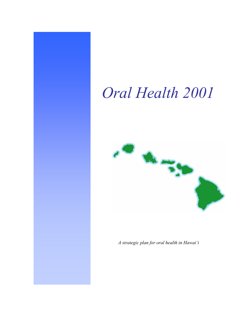# *Oral Health 2001*



*A strategic plan for oral health in Hawai'i*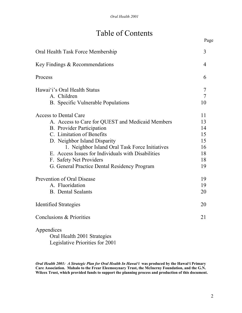# Table of Contents

|                                                    | Page           |
|----------------------------------------------------|----------------|
| Oral Health Task Force Membership                  | 3              |
| Key Findings & Recommendations                     | $\overline{4}$ |
| Process                                            | 6              |
| Hawai'i's Oral Health Status                       | 7              |
| A. Children                                        | 7              |
| <b>B.</b> Specific Vulnerable Populations          | 10             |
| <b>Access to Dental Care</b>                       | 11             |
| A. Access to Care for QUEST and Medicaid Members   | 13             |
| <b>B.</b> Provider Participation                   | 14             |
| C. Limitation of Benefits                          | 15             |
| D. Neighbor Island Disparity                       | 15             |
| 1. Neighbor Island Oral Task Force Initiatives     | 16             |
| E. Access Issues for Individuals with Disabilities | 18             |
| F. Safety Net Providers                            | 18             |
| G. General Practice Dental Residency Program       | 19             |
| Prevention of Oral Disease                         | 19             |
| A. Fluoridation                                    | 19             |
| <b>B.</b> Dental Sealants                          | 20             |
| <b>Identified Strategies</b>                       | 20             |
| Conclusions & Priorities                           | 21             |
| Appendices                                         |                |
| Oral Health 2001 Strategies                        |                |

Legislative Priorities for 2001

*Oral Health 2001: A Strategic Plan for Oral Health In Hawai'i* **was produced by the Hawai'i Primary Care Association. Mahalo to the Frear Eleemosynary Trust, the McInerny Foundation, and the G.N. Wilcox Trust, which provided funds to support the planning process and production of this document.**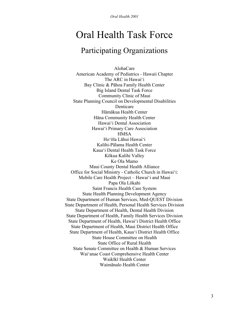# Oral Health Task Force

# Participating Organizations

AlohaCare American Academy of Pediatrics - Hawaii Chapter The ARC in Hawai'i Bay Clinic & Pāhoa Family Health Center Big Island Dental Task Force Community Clinic of Maui State Planning Council on Developmental Disabilities Denticare Hāmākua Health Center Hāna Community Health Center Hawai'i Dental Association Hawai'i Primary Care Association **HMSA** Ho'ōla Lāhui Hawai'i Kalihi-Pālama Health Center Kaua'i Dental Health Task Force Kōkua Kalihi Valley Ke Ola Mamo Maui County Dental Health Alliance Office for Social Ministry - Catholic Church in Hawai'i: Mobile Care Health Project – Hawai'i and Maui Papa Ola Lōkahi Saint Francis Health Care System State Health Planning Development Agency State Department of Human Services, Med-QUEST Division State Department of Health, Personal Health Services Division State Department of Health, Dental Health Division State Department of Health, Family Health Services Division State Department of Health, Hawai'i District Health Office State Department of Health, Maui District Health Office State Department of Health, Kaua'i District Health Office State House Committee on Health State Office of Rural Health State Senate Committee on Health & Human Services Wai'anae Coast Comprehensive Health Center Waikīkī Health Center Waimānalo Health Center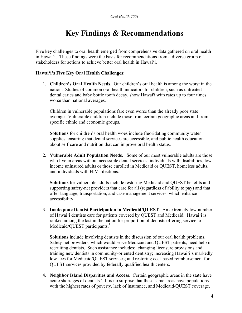# **Key Findings & Recommendations**

Five key challenges to oral health emerged from comprehensive data gathered on oral health in Hawai'i. These findings were the basis for recommendations from a diverse group of stakeholders for actions to achieve better oral health in Hawai'i.

#### **Hawai'i's Five Key Oral Health Challenges:**

1. **Children's Oral Health Needs**. Our children's oral health is among the worst in the nation. Studies of common oral health indicators for children, such as untreated dental caries and baby bottle tooth decay, show Hawai'i with rates up to four times worse than national averages.

Children in vulnerable populations fare even worse than the already poor state average. Vulnerable children include those from certain geographic areas and from specific ethnic and economic groups.

**Solutions** for children's oral health woes include fluoridating community water supplies, ensuring that dental services are accessible, and public health education about self-care and nutrition that can improve oral health status.

2. **Vulnerable Adult Population Needs**. Some of our most vulnerable adults are those who live in areas without accessible dental services, individuals with disabilities, lowincome uninsured adults or those enrolled in Medicaid or QUEST, homeless adults, and individuals with HIV infections.

**Solutions** for vulnerable adults include restoring Medicaid and QUEST benefits and supporting safety-net providers that care for all (regardless of ability to pay) and that offer language, transportation, and case management services, which enhance accessibility.

3. **Inadequate Dentist Participation in Medicaid/QUEST**. An extremely low number of Hawai'i dentists care for patients covered by QUEST and Medicaid. Hawai'i is ranked among the last in the nation for proportion of dentists offering service to Medicaid/QUEST participants.<sup>1</sup>

**Solutions** include involving dentists in the discussion of our oral health problems. Safety-net providers, which would serve Medicaid and QUEST patients, need help in recruiting dentists. Such assistance includes: changing licensure provisions and training new dentists in community-oriented dentistry; increasing Hawai'i's markedly low fees for Medicaid/QUEST services; and restoring cost-based reimbursement for QUEST services provided by federally qualified health centers.

4. **Neighbor Island Disparities and Access**. Certain geographic areas in the state have acute shortages of dentists.<sup>2</sup> It is no surprise that these same areas have populations with the highest rates of poverty, lack of insurance, and Medicaid/QUEST coverage.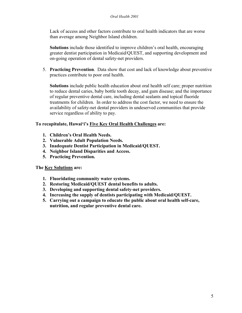Lack of access and other factors contribute to oral health indicators that are worse than average among Neighbor Island children.

**Solutions** include those identified to improve children's oral health, encouraging greater dentist participation in Medicaid/QUEST, and supporting development and on-going operation of dental safety-net providers.

5. **Practicing Prevention**. Data show that cost and lack of knowledge about preventive practices contribute to poor oral health.

**Solutions** include public health education about oral health self care; proper nutrition to reduce dental caries, baby bottle tooth decay, and gum disease; and the importance of regular preventive dental care, including dental sealants and topical fluoride treatments for children. In order to address the cost factor, we need to ensure the availability of safety-net dental providers in undeserved communities that provide service regardless of ability to pay.

#### **To recapitulate, Hawai'i's Five Key Oral Health Challenges are:**

- **1. Children's Oral Health Needs.**
- **2. Vulnerable Adult Population Needs.**
- **3. Inadequate Dentist Participation in Medicaid/QUEST.**
- **4. Neighbor Island Disparities and Access.**
- **5. Practicing Prevention.**

#### **The Key Solutions are:**

- **1. Fluoridating community water systems.**
- **2. Restoring Medicaid/QUEST dental benefits to adults.**
- **3. Developing and supporting dental safety-net providers.**
- **4. Increasing the supply of dentists participating with Medicaid/QUEST.**
- **5. Carrying out a campaign to educate the public about oral health self-care, nutrition, and regular preventive dental care.**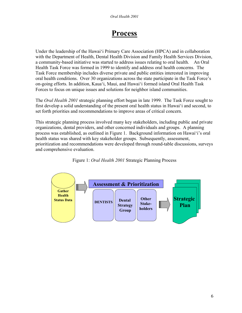# **Process**

Under the leadership of the Hawai'i Primary Care Association (HPCA) and in collaboration with the Department of Health, Dental Health Division and Family Health Services Division, a community-based initiative was started to address issues relating to oral health. An Oral Health Task Force was formed in 1999 to identify and address oral health concerns. The Task Force membership includes diverse private and public entities interested in improving oral health conditions. Over 30 organizations across the state participate in the Task Force's on-going efforts. In addition, Kaua'i, Maui, and Hawai'i formed island Oral Health Task Forces to focus on unique issues and solutions for neighbor island communities.

The *Oral Health 2001* strategic planning effort began in late 1999. The Task Force sought to first develop a solid understanding of the present oral health status in Hawai'i and second, to set forth priorities and recommendations to improve areas of critical concern.

This strategic planning process involved many key stakeholders, including public and private organizations, dental providers, and other concerned individuals and groups. A planning process was established, as outlined in Figure 1. Background information on Hawai'i's oral health status was shared with key stakeholder groups. Subsequently, assessment, prioritization and recommendations were developed through round-table discussions, surveys and comprehensive evaluation.



Figure 1: *Oral Health 2001* Strategic Planning Process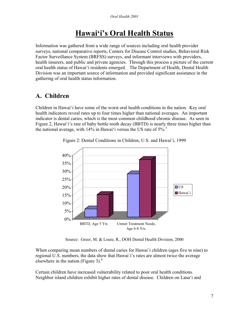# **Hawai'i's Oral Health Status**

Information was gathered from a wide range of sources including oral health provider surveys, national comparative reports, Centers for Disease Control studies, Behavioral Risk Factor Surveillance System (BRFSS) surveys, and informant interviews with providers, health insurers, and public and private agencies. Through this process a picture of the current oral health status of Hawai'i residents emerged. The Department of Health, Dental Health Division was an important source of information and provided significant assistance in the gathering of oral health status information.

### **A. Children**

Children in Hawai'i have some of the worst oral health conditions in the nation. Key oral health indicators reveal rates up to four times higher than national averages. An important indicator is dental caries, which is the most common childhood chronic disease. As seen in Figure 2, Hawai'i's rate of baby bottle tooth decay (BBTD) is nearly three times higher than the national average, with  $14\%$  in Hawai'i versus the US rate of  $5\%$ <sup>3</sup>



Figure 2: Dental Conditions in Children, U.S. and Hawai'i, 1999

Source: Greer, M. & Louie, R., DOH Dental Health Division, 2000

When comparing mean numbers of dental caries for Hawai`i children (ages five to nine) to regional U.S. numbers, the data show that Hawai`i's rates are almost twice the average elsewhere in the nation (Figure 3).<sup>4</sup>

Certain children have increased vulnerability related to poor oral health conditions. Neighbor island children exhibit higher rates of dental disease. Children on Lana'i and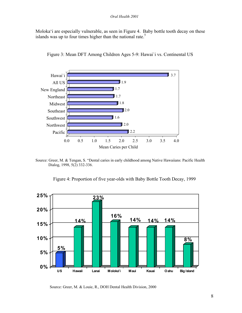Moloka'i are especially vulnerable, as seen in Figure 4. Baby bottle tooth decay on these islands was up to four times higher than the national rate.<sup>5</sup>



Figure 3: Mean DFT Among Children Ages 5-9: Hawai`i vs. Continental US

Source: Greer, M. & Tengan, S. "Dental caries in early childhood among Native Hawaiians: Pacific Health Dialog, 1998, 5(2) 332-336.

Figure 4: Proportion of five year-olds with Baby Bottle Tooth Decay, 1999



Source: Greer, M. & Louie, R., DOH Dental Health Division, 2000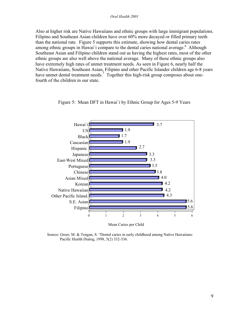#### *Oral Health 2001*

Also at higher risk are Native Hawaiians and ethnic groups with large immigrant populations. Filipino and Southeast Asian children have over 60% more decayed or filled primary teeth than the national rate. Figure 5 supports this estimate, showing how dental caries rates among ethnic groups in Hawai'i compare to the dental caries national average.<sup>6</sup> Although Southeast Asian and Filipino children stand out as having the highest rates, most of the other ethnic groups are also well above the national average. Many of these ethnic groups also have extremely high rates of unmet treatment needs. As seen in Figure 6, nearly half the Native Hawaiians, Southeast Asian, Filipino and other Pacific Islander children age 6-8 years have unmet dental treatment needs.<sup>7</sup> Together this high-risk group composes about onefourth of the children in our state.



Figure 5: Mean DFT in Hawai`i by Ethnic Group for Ages 5-9 Years

Source: Greer, M. & Tengan, S. "Dental caries in early childhood among Native Hawaiians: Pacific Health Dialog, 1998, 5(2) 332-336.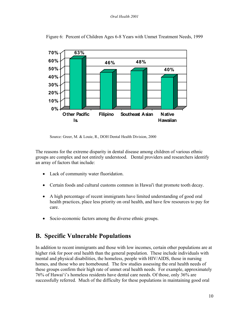

Figure 6: Percent of Children Ages 6-8 Years with Unmet Treatment Needs, 1999

Source: Greer, M. & Louie, R., DOH Dental Health Division, 2000

The reasons for the extreme disparity in dental disease among children of various ethnic groups are complex and not entirely understood. Dental providers and researchers identify an array of factors that include:

- Lack of community water fluoridation.
- Certain foods and cultural customs common in Hawai'i that promote tooth decay.
- A high percentage of recent immigrants have limited understanding of good oral health practices, place less priority on oral health, and have few resources to pay for care.
- Socio-economic factors among the diverse ethnic groups.

### **B. Specific Vulnerable Populations**

In addition to recent immigrants and those with low incomes, certain other populations are at higher risk for poor oral health than the general population. These include individuals with mental and physical disabilities, the homeless, people with HIV/AIDS, those in nursing homes, and those who are homebound. The few studies assessing the oral health needs of these groups confirm their high rate of unmet oral health needs. For example, approximately 76% of Hawai'i's homeless residents have dental care needs. Of those, only 36% are successfully referred. Much of the difficulty for these populations in maintaining good oral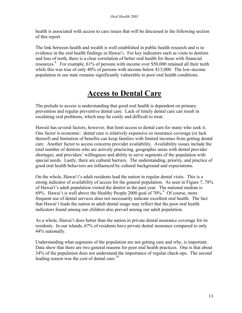health is associated with access to care issues that will be discussed in the following section of this report.

The link between health and wealth is well established in public health research and is in evidence in the oral health findings in Hawai'i. For key indicators such as visits to dentists and loss of teeth, there is a clear correlation of better oral health for those with financial resources.<sup>8</sup> For example, 61% of persons with income over \$50,000 retained all their teeth while this was true of only 40% of persons with income below \$15,000. The low-income population in our state remains significantly vulnerable to poor oral health conditions.

# **Access to Dental Care**

The prelude to access is understanding that good oral health is dependent on primary prevention and regular preventive dental care. Lack of timely dental care can result in escalating oral problems, which may be costly and difficult to treat.

Hawaii has several factors, however, that limit access to dental care for many who seek it. One factor is economic: dental care is relatively expensive so insurance coverage (or lack thereof) and limitation of benefits can keep families with limited incomes from getting dental care. Another factor to access concerns provider availability. Availability issues include the total number of dentists who are actively practicing, geographic areas with dental provider shortages, and providers' willingness and ability to serve segments of the population with special needs. Lastly, there are cultural barriers. The understanding, priority, and practice of good oral health behaviors are influenced by cultural background and expectations.

On the whole, Hawai'i's adult residents lead the nation in regular dental visits. This is a strong indicator of availability of access for the general population. As seen in Figure 7, 78% of Hawai'i's adult population visited the dentist in the past year. The national median is 69%. Hawai'i is well above the Healthy People 2000 goal of  $70\%$ <sup>9</sup> Of course, more frequent use of dental services does not necessarily indicate excellent oral health. The fact that Hawai'i leads the nation in adult dental usage may reflect that the poor oral health indicators found among our children also prevail among our adult population.

As a whole, Hawai'i does better than the nation in private dental insurance coverage for its residents. In our islands, 67% of residents have private dental insurance compared to only 44% nationally.

Understanding what segments of the population are not getting care and why, is important. Data show that there are two general reasons for poor oral health practices. One is that about 34% of the population does not understand the importance of regular check-ups. The second leading reason was the cost of dental care.<sup>10</sup>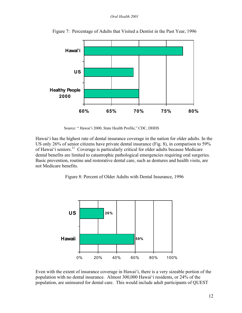#### *Oral Health 2001*



Figure 7: Percentage of Adults that Visited a Dentist in the Past Year, 1996

Source: " Hawai'i 2000, State Health Profile," CDC, DHHS

Hawai'i has the highest rate of dental insurance coverage in the nation for older adults. In the US only 26% of senior citizens have private dental insurance (Fig. 8), in comparison to 59% of Hawai'i seniors.<sup>11</sup> Coverage is particularly critical for older adults because Medicare dental benefits are limited to catastrophic pathological emergencies requiring oral surgeries. Basic prevention, routine and restorative dental care, such as dentures and health visits, are not Medicare benefits.

Figure 8: Percent of Older Adults with Dental Insurance, 1996



Even with the extent of insurance coverage in Hawai'i, there is a very sizeable portion of the population with no dental insurance. Almost 300,000 Hawai'i residents, or 24% of the population, are uninsured for dental care. This would include adult participants of QUEST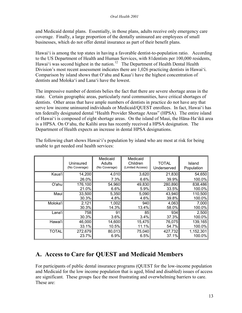#### *Oral Health 2001*

and Medicaid dental plans. Essentially, in those plans, adults receive only emergency care coverage. Finally, a large proportion of the dentally uninsured are employees of small businesses, which do not offer dental insurance as part of their benefit plans.

Hawai'i is among the top states in having a favorable dentist-to-population ratio. According to the US Department of Health and Human Services, with 81dentists per 100,000 residents, Hawai'i was second highest in the nation.<sup>12</sup> The Department of Health Dental Health Division's most recent assessment indicates there are 1,026 practicing dentists in Hawai'i. Comparison by island shows that O'ahu and Kaua'i have the highest concentration of dentists and Moloka'i and Lana'i have the lowest.

The impressive number of dentists belies the fact that there are severe shortage areas in the state. Certain geographic areas, particularly rural communities, have critical shortages of dentists. Other areas that have ample numbers of dentists in practice do not have any that serve low income uninsured individuals or Medicaid/QUEST enrollees. In fact, Hawai'i has ten federally designated dental "Health Provider Shortage Areas" (HPSA). The entire island of Hawai'i is composed of eight shortage areas. On the island of Maui, the Hāna-Ha'ikū area is a HPSA. On O'ahu, the Kalihi area has recently received a HPSA designation. The Department of Health expects an increase in dental HPSA designations.

|              | Uninsured<br>(No Coverage) | Medicaid<br>Adults<br>(No Coverage) | Medicaid<br>Children<br>(Limited Access) | <b>TOTAL</b><br>Underserved | Island<br>Population |
|--------------|----------------------------|-------------------------------------|------------------------------------------|-----------------------------|----------------------|
| Kaua'i       | 14,200                     | 4,010                               | 3,620                                    | 21,830                      | 54,650               |
|              | 26.0%                      | 7.3%                                | 6.6%                                     | 39.9%                       | 100.0%               |
| O'ahu        | 176,100                    | 54,960                              | 49,830                                   | 280,890                     | 838,486              |
|              | 21.0%                      | 6.6%                                | 5.9%                                     | 33.5%                       | 100.0%               |
| Maui         | 33,500                     | 5,350                               | 5,090                                    | 43,940                      | 110,500              |
|              | 30.3%                      | 4.8%                                | 4.6%                                     | 39.8%                       | 100.0%               |
| Moloka'i     | 2,121                      | 1,002                               | 940                                      | 4,063                       | 7,000                |
|              | 30.3%                      | 14.3%                               | 13.4%                                    | 58.0%                       | 100.0%               |
| Lana'i       | 758                        | 91                                  | 85                                       | 934                         | 2,500                |
|              | 30.3%                      | 3.6%                                | 3.4%                                     | 37.3%                       | 100.0%               |
| Hawai'i      | 46,000                     | 14,600                              | 15,475                                   | 76,075                      | 139,165              |
|              | 33.1%                      | 10.5%                               | 11.1%                                    | 54.7%                       | 100.0%               |
| <b>TOTAL</b> | 272,679                    | 80,013                              | 75,040                                   | 427,732                     | 1,152,301            |
|              | 23.7%                      | 6.9%                                | 6.5%                                     | 37.1%                       | 100.0%               |

The following chart shows Hawai'i's population by island who are most at risk for being unable to get needed oral health services:

### **A. Access to Care for QUEST and Medicaid Members**

For participants of public dental insurance programs (QUEST for the low-income population and Medicaid for the low income population that is aged, blind and disabled) issues of access are significant. These groups face the most frustrating and overwhelming barriers to care. These are: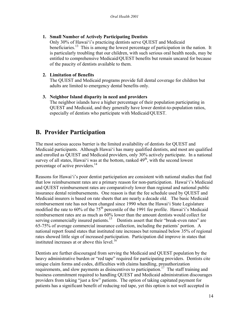#### **1. Small Number of Actively Participating Dentists**

Only 30% of Hawai'i's practicing dentists serve QUEST and Medicaid beneficiaries.<sup>13</sup> This is among the lowest percentage of participation in the nation. It is particularly troubling that our children, with such serious oral health needs, may be entitled to comprehensive Medicaid/QUEST benefits but remain uncared for because of the paucity of dentists available to them.

#### **2. Limitation of Benefits**

The QUEST and Medicaid programs provide full dental coverage for children but adults are limited to emergency dental benefits only.

#### **3. Neighbor Island disparity in need and providers**

The neighbor islands have a higher percentage of their population participating in QUEST and Medicaid, and they generally have lower dentist-to-population ratios, especially of dentists who participate with Medicaid/QUEST.

### **B. Provider Participation**

The most serious access barrier is the limited availability of dentists for QUEST and Medicaid participants. Although Hawai'i has many qualified dentists, and most are qualified and enrolled as QUEST and Medicaid providers, only 30% actively participate. In a national survey of all states, Hawai'i was at the bottom, ranked  $49<sup>th</sup>$ , with the second lowest percentage of active providers.<sup>14</sup>

Reasons for Hawai'i's poor dentist participation are consistent with national studies that find that low reimbursement rates are a primary reason for non-participation. Hawai'i's Medicaid and QUEST reimbursement rates are comparatively lower than regional and national public insurance dental reimbursements. One reason is that the fee schedule used by QUEST and Medicaid insurers is based on rate sheets that are nearly a decade old. The basic Medicaid reimbursement rate has not been changed since 1990 when the Hawai'i State Legislature modified the rate to 60% of the 75<sup>th</sup> percentile of the 1991 fee profile. Hawai'i's Medicaid reimbursement rates are as much as 60% lower than the amount dentists would collect for serving commercially insured patients.<sup>15</sup> Dentists assert that their "break-even rates" are 65-75% of average commercial insurance collection, including the patients' portion. A national report found states that instituted rate increases but remained below 35% of regional rates showed little sign of increased participation. Participation did improve in states that instituted increases at or above this level.16

Dentists are further discouraged from serving the Medicaid and QUEST population by the heavy administrative burden or "red tape" required for participating providers. Dentists cite unique claim forms and codes, difficulties with claims handling, preauthorization requirements, and slow payments as disincentives to participation.<sup>17</sup> The staff training and business commitment required to handling QUEST and Medicaid administration discourages providers from taking "just a few" patients. The option of taking capitated payment for patients has a significant benefit of reducing red tape, yet this option is not well accepted in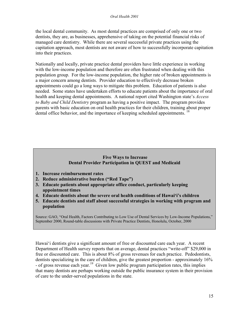the local dental community. As most dental practices are comprised of only one or two dentists, they are, as businesses, apprehensive of taking on the potential financial risks of managed care dentistry. While there are several successful private practices using the capitation approach, most dentists are not aware of how to successfully incorporate capitation into their practices.

Nationally and locally, private practice dental providers have little experience in working with the low-income population and therefore are often frustrated when dealing with this population group. For the low-income population, the higher rate of broken appointments is a major concern among dentists. Provider education to effectively decrease broken appointments could go a long ways to mitigate this problem. Education of patients is also needed. Some states have undertaken efforts to educate patients about the importance of oral health and keeping dental appointments. A national report cited Washington state's *Access to Baby and Child Dentistry* program as having a positive impact. The program provides parents with basic education on oral health practices for their children, training about proper dental office behavior, and the importance of keeping scheduled appointments.<sup>18</sup>

#### **Five Ways to Increase Dental Provider Participation in QUEST and Medicaid**

- **1. Increase reimbursement rates**
- **2. Reduce administrative burden ("Red Tape")**
- **3. Educate patients about appropriate office conduct, particularly keeping appointment times**
- **4. Educate dentists about the severe oral health conditions of Hawai'i's children**
- **5. Educate dentists and staff about successful strategies in working with program and population**

Source: GAO, "Oral Health, Factors Contributing to Low Use of Dental Services by Low-Income Populations," September 2000, Round-table discussions with Private Practice Dentists, Honolulu, October, 2000

Hawai'i dentists give a significant amount of free or discounted care each year. A recent Department of Health survey reports that on average, dental practices "write-off" \$29,000 in free or discounted care. This is about 8% of gross revenues for each practice. Pedodontists, dentists specializing in the care of children, give the greatest proportion - approximately 16% - of gross revenue each year.<sup>19</sup> Given low public program participation rates, this implies that many dentists are perhaps working outside the public insurance system in their provision of care to the under-served populations in the state.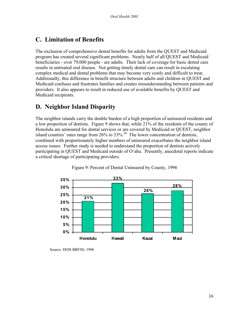### **C. Limitation of Benefits**

The exclusion of comprehensive dental benefits for adults from the QUEST and Medicaid program has created several significant problems. Nearly half of all QUEST and Medicaid beneficiaries - over 79,000 people - are adults. Their lack of coverage for basic dental care results in untreated oral disease. Not getting timely dental care can result in escalating complex medical and dental problems that may become very costly and difficult to treat. Additionally, this difference in benefit structure between adults and children in QUEST and Medicaid confuses and frustrates families and creates misunderstanding between patients and providers. It also appears to result in reduced use of available benefits by QUEST and Medicaid recipients.

### **D. Neighbor Island Disparity**

The neighbor islands carry the double burden of a high proportion of uninsured residents and a low proportion of dentists. Figure 9 shows that, while 21% of the residents of the county of Honolulu are uninsured for dental services or are covered by Medicaid or QUEST, neighbor island counties' rates range from  $26\%$  to  $33\%$ <sup>20</sup>. The lower concentration of dentists, combined with proportionately higher numbers of uninsured exacerbates the neighbor island access issues. Further study is needed to understand the proportion of dentists actively participating in QUEST and Medicaid outside of O'ahu. Presently, anecdotal reports indicate a critical shortage of participating providers.



Figure 9: Percent of Dental Uninsured by County, 1996

Source: DOH BRFSS, 1996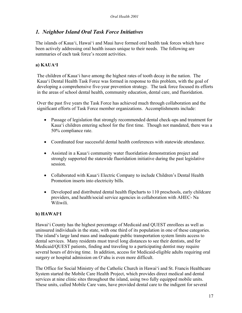#### *1. Neighbor Island Oral Task Force Initiatives*

The islands of Kaua'i, Hawai'i and Maui have formed oral health task forces which have been actively addressing oral health issues unique to their needs. The following are summaries of each task force's recent activities.

#### **a) KAUA'I**

The children of Kaua'i have among the highest rates of tooth decay in the nation. The Kaua'i Dental Health Task Force was formed in response to this problem, with the goal of developing a comprehensive five-year prevention strategy. The task force focused its efforts in the areas of school dental health, community education, dental care, and fluoridation.

Over the past five years the Task Force has achieved much through collaboration and the significant efforts of Task Force member organizations. Accomplishments include:

- Passage of legislation that strongly recommended dental check-ups and treatment for Kaua'i children entering school for the first time. Though not mandated, there was a 50% compliance rate.
- Coordinated four successful dental health conferences with statewide attendance.
- Assisted in a Kaua'i community water fluoridation demonstration project and strongly supported the statewide fluoridation initiative during the past legislative session.
- Collaborated with Kaua'i Electric Company to include Children's Dental Health Promotion inserts into electricity bills.
- Developed and distributed dental health flipcharts to 110 preschools, early childcare providers, and health/social service agencies in collaboration with AHEC- Na Wiliwili.

#### **b) HAWAI'I**

Hawai'i County has the highest percentage of Medicaid and QUEST enrollees as well as uninsured individuals in the state, with one third of its population in one of these categories. The island's large land mass and inadequate public transportation system limits access to dental services. Many residents must travel long distances to see their dentists, and for Medicaid/QUEST patients, finding and traveling to a participating dentist may require several hours of driving time. In addition, access for Medicaid-eligible adults requiring oral surgery or hospital admission on O'ahu is even more difficult.

The Office for Social Ministry of the Catholic Church in Hawai'i and St. Francis Healthcare System started the Mobile Care Health Project, which provides direct medical and dental services at nine clinic sites throughout the island, using two fully equipped mobile units. These units, called Mobile Care vans, have provided dental care to the indigent for several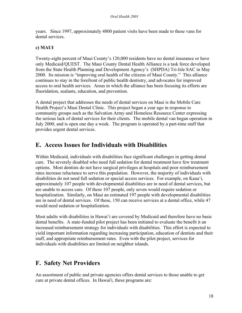years. Since 1997, approximately 4800 patient visits have been made to these vans for dental services.

#### **c) MAUI**

Twenty-eight percent of Maui County's 120,000 residents have no dental insurance or have only Medicaid/QUEST. The Maui County Dental Health Alliance is a task force developed from the State Health Planning and Development Agency's (SHPDA) Tri-Isle SAC in May 2000. Its mission is "improving oral health of the citizens of Maui County." This alliance continues to stay in the forefront of public health dentistry, and advocates for improved access to oral health services. Areas in which the alliance has been focusing its efforts are fluoridation, sealants, education, and prevention.

A dental project that addresses the needs of dental services on Maui is the Mobile Care Health Project's Maui Dental Clinic. This project began a year ago in response to community groups such as the Salvation Army and Homeless Resource Center expressing the serious lack of dental services for their clients. The mobile dental van began operation in July 2000, and is open one day a week. The program is operated by a part-time staff that provides urgent dental services.

### **E. Access Issues for Individuals with Disabilities**

Within Medicaid, individuals with disabilities face significant challenges in getting dental care. The severely disabled who need full sedation for dental treatment have few treatment options. Most dentists do not have surgical privileges at hospitals and poor reimbursement rates increase reluctance to serve this population. However, the majority of individuals with disabilities do not need full sedation or special access services. For example, on Kaua'i, approximately 107 people with developmental disabilities are in need of dental services, but are unable to access care. Of these 107 people, only seven would require sedation or hospitalization. Similarly, on Maui an estimated 197 people with developmental disabilities are in need of dental services. Of these, 150 can receive services at a dental office, while 47 would need sedation or hospitalization.

Most adults with disabilities in Hawai'i are covered by Medicaid and therefore have no basic dental benefits. A state-funded pilot project has been initiated to evaluate the benefit it an increased reimbursement strategy for individuals with disabilities. This effort is expected to yield important information regarding increasing participation, education of dentists and their staff, and appropriate reimbursement rates. Even with the pilot project, services for individuals with disabilities are limited on neighbor islands.

### **F. Safety Net Providers**

An assortment of public and private agencies offers dental services to those unable to get care at private dental offices. In Hawai'i, these programs are: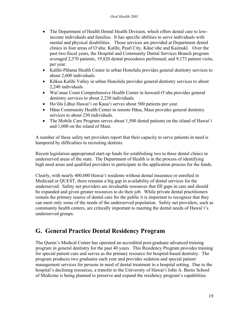- The Department of Health Dental Health Division, which offers dental care to lowincome individuals and families. It has specific abilities to serve individuals with mental and physical disabilities. Those services are provided at Department dental clinics in four areas of O'ahu: Kalihi, Pearl City, Kāne'ohe and Kaimukī. Over the past two fiscal years, the Hospital and Community Dental Services Branch program averaged 2,370 patients, 19,820 dental procedures performed, and 9,173 patient visits, per year.
- Kalihi-Pālama Health Center in urban Honolulu provides general dentistry services to about 2,600 individuals.
- Kōkua Kalihi Valley in urban Honolulu provides general dentistry services to about 2,240 individuals.
- Wai'anae Coast Comprehensive Health Center in leeward O'ahu provides general dentistry services to about 2,230 individuals.
- Ho'ōla Lāhui Hawai'i on Kaua'i serves about 500 patients per year.
- Hāna Community Health Center in remote Hāna, Maui provides general dentistry services to about 230 individuals.
- The Mobile Care Program serves about 1,500 dental patients on the island of Hawai'i and 1,000 on the island of Maui.

A number of these safety net providers report that their capacity to serve patients in need is hampered by difficulties in recruiting dentists.

Recent legislation appropriated start-up funds for establishing two to three dental clinics in underserved areas of the state. The Department of Health is in the process of identifying high need areas and qualified providers to participate in the application process for the funds.

Clearly, with nearly 400,000 Hawai'i residents without dental insurance or enrolled in Medicaid or QUEST, there remains a big gap in availability of dental services for the underserved. Safety net providers are invaluable resources that fill gaps in care and should be expanded and given greater resources to do their job. While private dental practitioners remain the primary source of dental care for the public it is important to recognize that they can meet only some of the needs of the underserved population. Safety net providers, such as community health centers, are critically important to meeting the dental needs of Hawai'i's underserved groups.

## **G. General Practice Dental Residency Program**

The Queen's Medical Center has operated an accredited post-graduate advanced training program in general dentistry for the past 40 years. This Residency Program provides training for special patient care and serves as the primary resource for hospital-based dentistry. The program produces two graduates each year and provides sedation and special patient management services for persons in need of dental treatment in a hospital setting. Due to the hospital's declining resources, a transfer to the University of Hawai'i John A. Burns School of Medicine is being planned to preserve and expand the residency program's capabilities.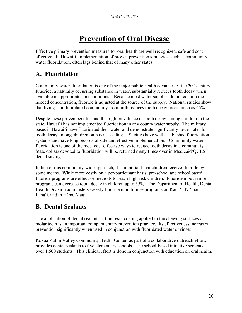# **Prevention of Oral Disease**

Effective primary prevention measures for oral health are well recognized, safe and costeffective. In Hawai'i, implementation of proven prevention strategies, such as community water fluoridation, often lags behind that of many other states.

### **A. Fluoridation**

Community water fluoridation is one of the major public health advances of the  $20<sup>th</sup>$  century. Fluoride, a naturally occurring substance in water, substantially reduces tooth decay when available in appropriate concentrations. Because most water supplies do not contain the needed concentration, fluoride is adjusted at the source of the supply. National studies show that living in a fluoridated community from birth reduces tooth decay by as much as 65%.

Despite these proven benefits and the high prevalence of tooth decay among children in the state, Hawai'i has not implemented fluoridation in any county water supply. The military bases in Hawai'i have fluoridated their water and demonstrate significantly lower rates for tooth decay among children on base. Leading U.S. cities have well established fluoridation systems and have long records of safe and effective implementation. Community water fluoridation is one of the most cost-effective ways to reduce tooth decay in a community. State dollars devoted to fluoridation will be returned many times over in Medicaid/QUEST dental savings.

In lieu of this community-wide approach, it is important that children receive fluoride by some means. While more costly on a per-participant basis, pre-school and school based fluoride programs are effective methods to reach high-risk children. Fluoride mouth rinse programs can decrease tooth decay in children up to 35%. The Department of Health, Dental Health Division administers weekly fluoride mouth rinse programs on Kaua'i, Ni'ihau, Lana'i, and in Hāna, Maui.

# **B. Dental Sealants**

The application of dental sealants, a thin resin coating applied to the chewing surfaces of molar teeth is an important complementary prevention practice. Its effectiveness increases prevention significantly when used in conjunction with fluoridated water or rinses.

Kōkua Kalihi Valley Community Health Center, as part of a collaborative outreach effort, provides dental sealants to five elementary schools. The school-based initiative screened over 1,600 students. This clinical effort is done in conjunction with education on oral health.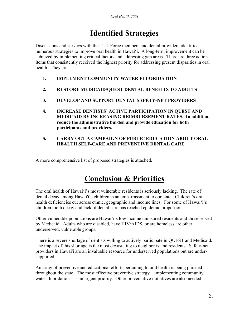# **Identified Strategies**

Discussions and surveys with the Task Force members and dental providers identified numerous strategies to improve oral health in Hawai'i. A long-term improvement can be achieved by implementing critical factors and addressing gap areas. There are three action items that consistently received the highest priority for addressing present disparities in oral health. They are:

- **1. IMPLEMENT COMMUNITY WATER FLUORIDATION**
- **2. RESTORE MEDICAID/QUEST DENTAL BENEFITS TO ADULTS**
- **3. DEVELOP AND SUPPORT DENTAL SAFETY-NET PROVIDERS**
- **4. INCREASE DENTISTS' ACTIVE PARTICIPATION IN QUEST AND MEDICAID BY INCREASING REIMBURSEMENT RATES. In addition, reduce the administrative burden and provide education for both participants and providers.**
- **5. CARRY OUT A CAMPAIGN OF PUBLIC EDUCATION ABOUT ORAL HEALTH SELF-CARE AND PREVENTIVE DENTAL CARE.**

A more comprehensive list of proposed strategies is attached.

# **Conclusion & Priorities**

The oral health of Hawai'i's most vulnerable residents is seriously lacking. The rate of dental decay among Hawai'i's children is an embarrassment to our state. Children's oral health deficiencies cut across ethnic, geographic and income lines. For some of Hawai'i's children tooth decay and lack of dental care has reached epidemic proportions.

Other vulnerable populations are Hawai'i's low income uninsured residents and those served by Medicaid. Adults who are disabled, have HIV/AIDS, or are homeless are other underserved, vulnerable groups.

There is a severe shortage of dentists willing to actively participate in QUEST and Medicaid. The impact of this shortage is the most devastating to neighbor island residents. Safety-net providers in Hawai'i are an invaluable resource for underserved populations but are undersupported.

An array of preventive and educational efforts pertaining to oral health is being pursued throughout the state. The most effective preventive strategy – implementing community water fluoridation – is an urgent priority. Other preventative initiatives are also needed.